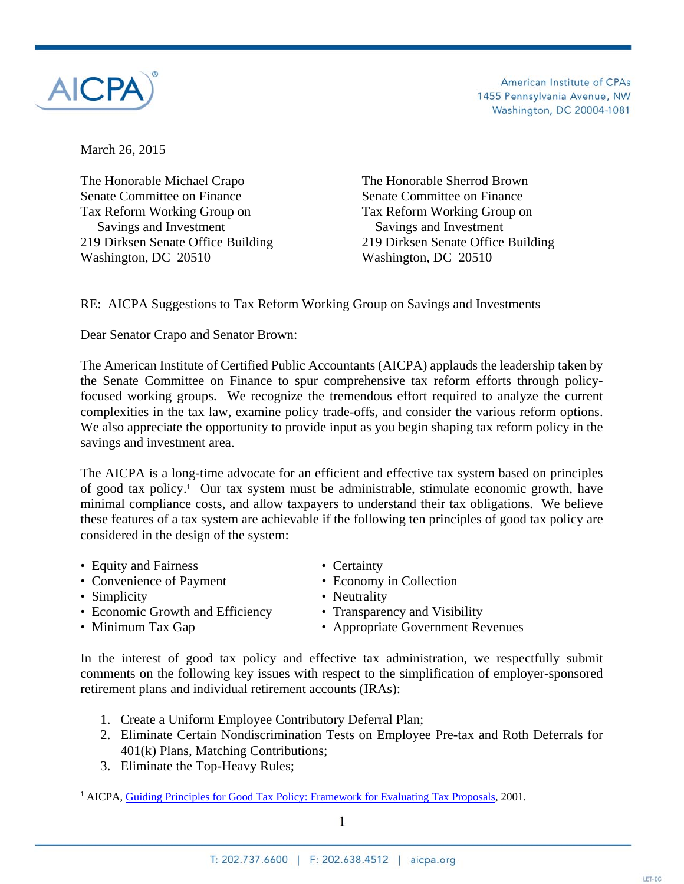

American Institute of CPAs 1455 Pennsylvania Avenue, NW Washington, DC 20004-1081

March 26, 2015

The Honorable Michael Crapo The Honorable Sherrod Brown Senate Committee on Finance Senate Committee on Finance Tax Reform Working Group on Tax Reform Working Group on Savings and Investment Savings and Investment 219 Dirksen Senate Office Building 219 Dirksen Senate Office Building Washington, DC 20510 Washington, DC 20510

RE: AICPA Suggestions to Tax Reform Working Group on Savings and Investments

Dear Senator Crapo and Senator Brown:

The American Institute of Certified Public Accountants (AICPA) applauds the leadership taken by the Senate Committee on Finance to spur comprehensive tax reform efforts through policyfocused working groups. We recognize the tremendous effort required to analyze the current complexities in the tax law, examine policy trade-offs, and consider the various reform options. We also appreciate the opportunity to provide input as you begin shaping tax reform policy in the savings and investment area.

The AICPA is a long-time advocate for an efficient and effective tax system based on principles of good tax policy.1 Our tax system must be administrable, stimulate economic growth, have minimal compliance costs, and allow taxpayers to understand their tax obligations. We believe these features of a tax system are achievable if the following ten principles of good tax policy are considered in the design of the system:

- 
- Equity and Fairness<br>• Convenience of Payment<br>• Economy in Collection • Convenience of Payment
- Simplicity Neutrality
- Economic Growth and Efficiency Transparency and Visibility
- 
- 
- 
- 
- 

• Minimum Tax Gap • Appropriate Government Revenues

In the interest of good tax policy and effective tax administration, we respectfully submit comments on the following key issues with respect to the simplification of employer-sponsored retirement plans and individual retirement accounts (IRAs):

- 1. Create a Uniform Employee Contributory Deferral Plan;
- 2. Eliminate Certain Nondiscrimination Tests on Employee Pre-tax and Roth Deferrals for 401(k) Plans, Matching Contributions;
- 3. Eliminate the Top-Heavy Rules;

<sup>1</sup> AICPA, Guiding Principles for Good Tax Policy: Framework for Evaluating Tax Proposals, 2001.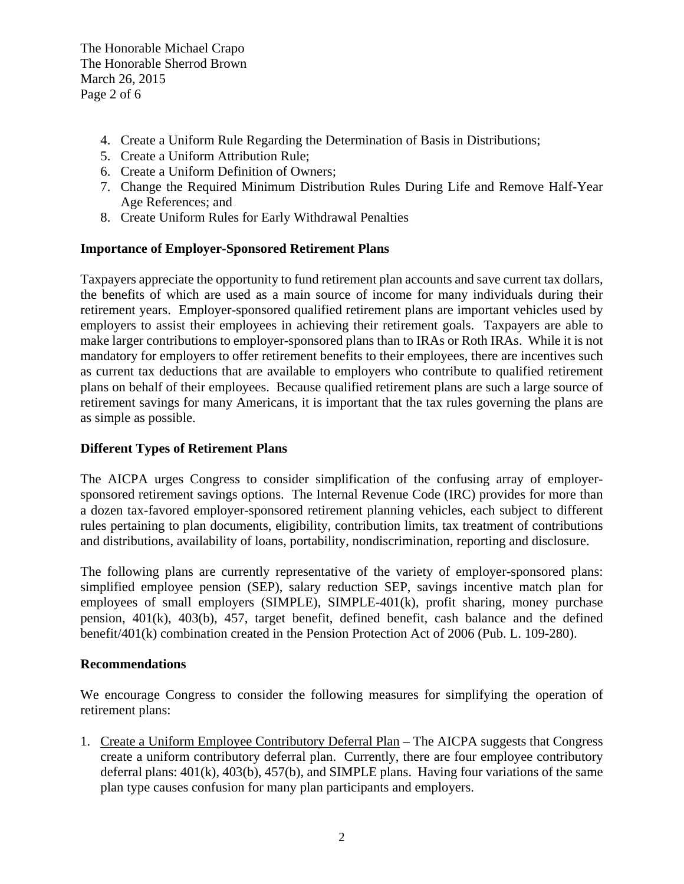The Honorable Michael Crapo The Honorable Sherrod Brown March 26, 2015 Page 2 of 6

- 4. Create a Uniform Rule Regarding the Determination of Basis in Distributions;
- 5. Create a Uniform Attribution Rule;
- 6. Create a Uniform Definition of Owners;
- 7. Change the Required Minimum Distribution Rules During Life and Remove Half-Year Age References; and
- 8. Create Uniform Rules for Early Withdrawal Penalties

#### **Importance of Employer-Sponsored Retirement Plans**

Taxpayers appreciate the opportunity to fund retirement plan accounts and save current tax dollars, the benefits of which are used as a main source of income for many individuals during their retirement years. Employer-sponsored qualified retirement plans are important vehicles used by employers to assist their employees in achieving their retirement goals. Taxpayers are able to make larger contributions to employer-sponsored plans than to IRAs or Roth IRAs. While it is not mandatory for employers to offer retirement benefits to their employees, there are incentives such as current tax deductions that are available to employers who contribute to qualified retirement plans on behalf of their employees. Because qualified retirement plans are such a large source of retirement savings for many Americans, it is important that the tax rules governing the plans are as simple as possible.

### **Different Types of Retirement Plans**

The AICPA urges Congress to consider simplification of the confusing array of employersponsored retirement savings options. The Internal Revenue Code (IRC) provides for more than a dozen tax-favored employer-sponsored retirement planning vehicles, each subject to different rules pertaining to plan documents, eligibility, contribution limits, tax treatment of contributions and distributions, availability of loans, portability, nondiscrimination, reporting and disclosure.

The following plans are currently representative of the variety of employer-sponsored plans: simplified employee pension (SEP), salary reduction SEP, savings incentive match plan for employees of small employers (SIMPLE), SIMPLE-401(k), profit sharing, money purchase pension, 401(k), 403(b), 457, target benefit, defined benefit, cash balance and the defined benefit/401(k) combination created in the Pension Protection Act of 2006 (Pub. L. 109-280).

#### **Recommendations**

We encourage Congress to consider the following measures for simplifying the operation of retirement plans:

1. Create a Uniform Employee Contributory Deferral Plan – The AICPA suggests that Congress create a uniform contributory deferral plan. Currently, there are four employee contributory deferral plans: 401(k), 403(b), 457(b), and SIMPLE plans. Having four variations of the same plan type causes confusion for many plan participants and employers.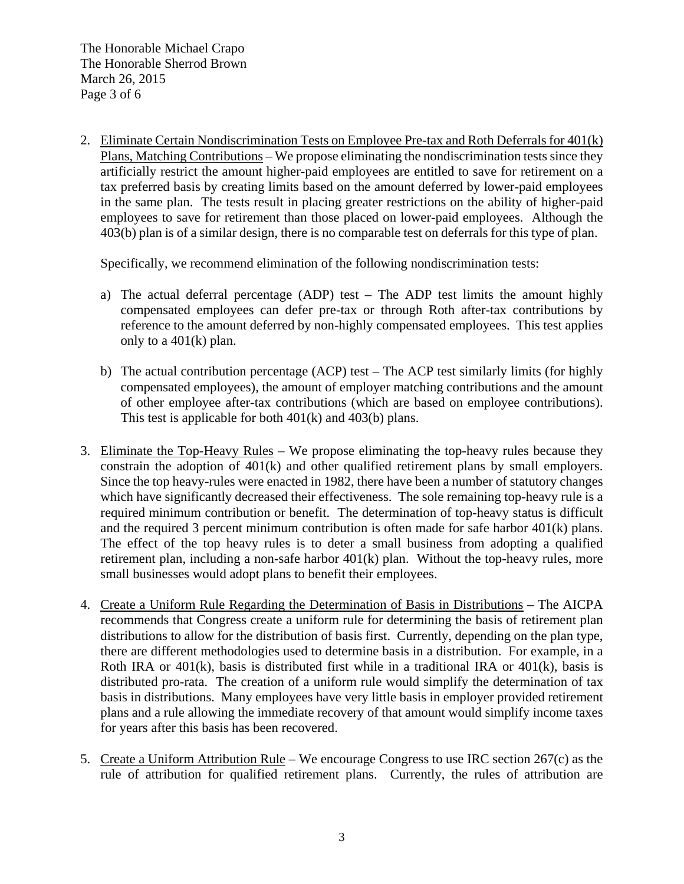2. Eliminate Certain Nondiscrimination Tests on Employee Pre-tax and Roth Deferrals for 401(k) Plans, Matching Contributions – We propose eliminating the nondiscrimination tests since they artificially restrict the amount higher-paid employees are entitled to save for retirement on a tax preferred basis by creating limits based on the amount deferred by lower-paid employees in the same plan. The tests result in placing greater restrictions on the ability of higher-paid employees to save for retirement than those placed on lower-paid employees. Although the 403(b) plan is of a similar design, there is no comparable test on deferrals for this type of plan.

Specifically, we recommend elimination of the following nondiscrimination tests:

- a) The actual deferral percentage (ADP) test The ADP test limits the amount highly compensated employees can defer pre-tax or through Roth after-tax contributions by reference to the amount deferred by non-highly compensated employees. This test applies only to a 401(k) plan.
- b) The actual contribution percentage (ACP) test The ACP test similarly limits (for highly compensated employees), the amount of employer matching contributions and the amount of other employee after-tax contributions (which are based on employee contributions). This test is applicable for both 401(k) and 403(b) plans.
- 3. Eliminate the Top-Heavy Rules We propose eliminating the top-heavy rules because they constrain the adoption of 401(k) and other qualified retirement plans by small employers. Since the top heavy-rules were enacted in 1982, there have been a number of statutory changes which have significantly decreased their effectiveness. The sole remaining top-heavy rule is a required minimum contribution or benefit. The determination of top-heavy status is difficult and the required 3 percent minimum contribution is often made for safe harbor 401(k) plans. The effect of the top heavy rules is to deter a small business from adopting a qualified retirement plan, including a non-safe harbor 401(k) plan. Without the top-heavy rules, more small businesses would adopt plans to benefit their employees.
- 4. Create a Uniform Rule Regarding the Determination of Basis in Distributions The AICPA recommends that Congress create a uniform rule for determining the basis of retirement plan distributions to allow for the distribution of basis first. Currently, depending on the plan type, there are different methodologies used to determine basis in a distribution. For example, in a Roth IRA or  $401(k)$ , basis is distributed first while in a traditional IRA or  $401(k)$ , basis is distributed pro-rata. The creation of a uniform rule would simplify the determination of tax basis in distributions. Many employees have very little basis in employer provided retirement plans and a rule allowing the immediate recovery of that amount would simplify income taxes for years after this basis has been recovered.
- 5. Create a Uniform Attribution Rule We encourage Congress to use IRC section 267(c) as the rule of attribution for qualified retirement plans. Currently, the rules of attribution are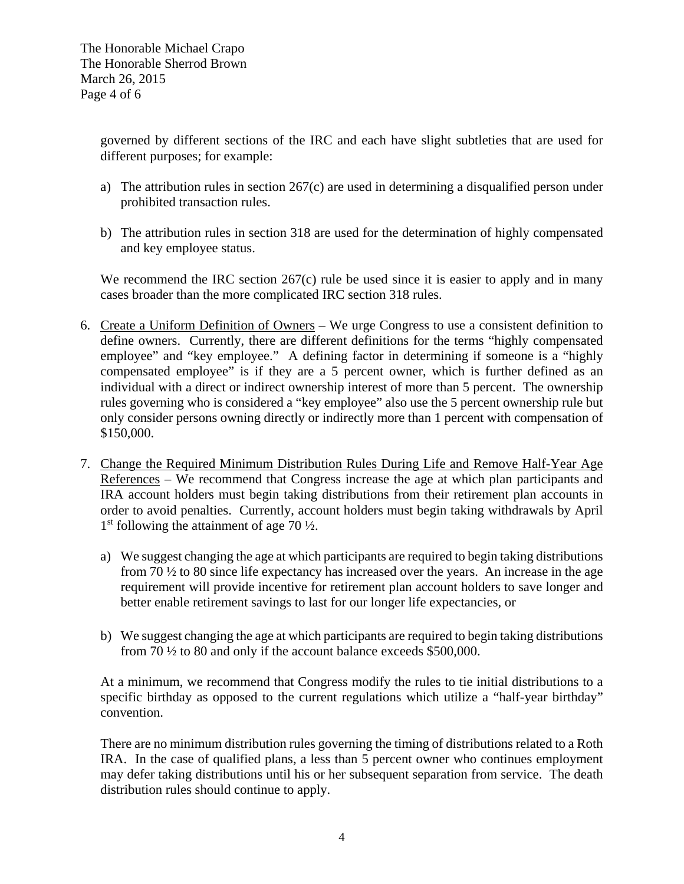governed by different sections of the IRC and each have slight subtleties that are used for different purposes; for example:

- a) The attribution rules in section 267(c) are used in determining a disqualified person under prohibited transaction rules.
- b) The attribution rules in section 318 are used for the determination of highly compensated and key employee status.

We recommend the IRC section 267(c) rule be used since it is easier to apply and in many cases broader than the more complicated IRC section 318 rules.

- 6. Create a Uniform Definition of Owners We urge Congress to use a consistent definition to define owners. Currently, there are different definitions for the terms "highly compensated employee" and "key employee." A defining factor in determining if someone is a "highly compensated employee" is if they are a 5 percent owner, which is further defined as an individual with a direct or indirect ownership interest of more than 5 percent. The ownership rules governing who is considered a "key employee" also use the 5 percent ownership rule but only consider persons owning directly or indirectly more than 1 percent with compensation of \$150,000.
- 7. Change the Required Minimum Distribution Rules During Life and Remove Half-Year Age References – We recommend that Congress increase the age at which plan participants and IRA account holders must begin taking distributions from their retirement plan accounts in order to avoid penalties. Currently, account holders must begin taking withdrawals by April  $1<sup>st</sup>$  following the attainment of age 70  $\frac{1}{2}$ .
	- a) We suggest changing the age at which participants are required to begin taking distributions from 70 ½ to 80 since life expectancy has increased over the years. An increase in the age requirement will provide incentive for retirement plan account holders to save longer and better enable retirement savings to last for our longer life expectancies, or
	- b) We suggest changing the age at which participants are required to begin taking distributions from 70 ½ to 80 and only if the account balance exceeds \$500,000.

At a minimum, we recommend that Congress modify the rules to tie initial distributions to a specific birthday as opposed to the current regulations which utilize a "half-year birthday" convention.

There are no minimum distribution rules governing the timing of distributions related to a Roth IRA. In the case of qualified plans, a less than 5 percent owner who continues employment may defer taking distributions until his or her subsequent separation from service. The death distribution rules should continue to apply.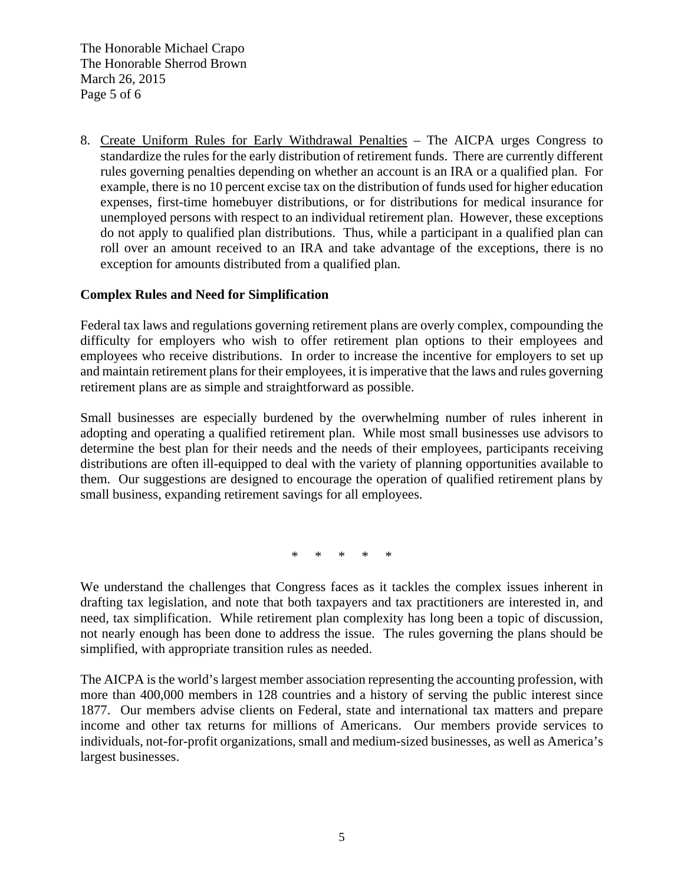The Honorable Michael Crapo The Honorable Sherrod Brown March 26, 2015 Page 5 of 6

8. Create Uniform Rules for Early Withdrawal Penalties – The AICPA urges Congress to standardize the rules for the early distribution of retirement funds. There are currently different rules governing penalties depending on whether an account is an IRA or a qualified plan. For example, there is no 10 percent excise tax on the distribution of funds used for higher education expenses, first-time homebuyer distributions, or for distributions for medical insurance for unemployed persons with respect to an individual retirement plan. However, these exceptions do not apply to qualified plan distributions. Thus, while a participant in a qualified plan can roll over an amount received to an IRA and take advantage of the exceptions, there is no exception for amounts distributed from a qualified plan.

### **Complex Rules and Need for Simplification**

Federal tax laws and regulations governing retirement plans are overly complex, compounding the difficulty for employers who wish to offer retirement plan options to their employees and employees who receive distributions. In order to increase the incentive for employers to set up and maintain retirement plans for their employees, it is imperative that the laws and rules governing retirement plans are as simple and straightforward as possible.

Small businesses are especially burdened by the overwhelming number of rules inherent in adopting and operating a qualified retirement plan. While most small businesses use advisors to determine the best plan for their needs and the needs of their employees, participants receiving distributions are often ill-equipped to deal with the variety of planning opportunities available to them. Our suggestions are designed to encourage the operation of qualified retirement plans by small business, expanding retirement savings for all employees.

\* \* \* \* \*

We understand the challenges that Congress faces as it tackles the complex issues inherent in drafting tax legislation, and note that both taxpayers and tax practitioners are interested in, and need, tax simplification. While retirement plan complexity has long been a topic of discussion, not nearly enough has been done to address the issue. The rules governing the plans should be simplified, with appropriate transition rules as needed.

The AICPA is the world's largest member association representing the accounting profession, with more than 400,000 members in 128 countries and a history of serving the public interest since 1877. Our members advise clients on Federal, state and international tax matters and prepare income and other tax returns for millions of Americans. Our members provide services to individuals, not-for-profit organizations, small and medium-sized businesses, as well as America's largest businesses.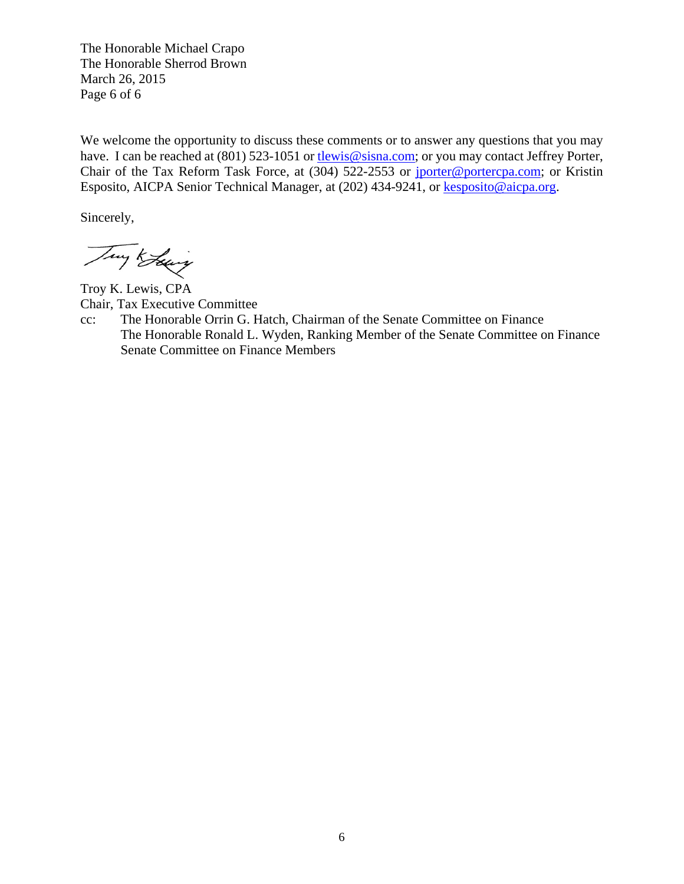The Honorable Michael Crapo The Honorable Sherrod Brown March 26, 2015 Page 6 of 6

We welcome the opportunity to discuss these comments or to answer any questions that you may have. I can be reached at (801) 523-1051 or tlewis@sisna.com; or you may contact Jeffrey Porter, Chair of the Tax Reform Task Force, at (304) 522-2553 or jporter@portercpa.com; or Kristin Esposito, AICPA Senior Technical Manager, at (202) 434-9241, or kesposito@aicpa.org.

Sincerely,

Try Keing

Troy K. Lewis, CPA Chair, Tax Executive Committee

cc: The Honorable Orrin G. Hatch, Chairman of the Senate Committee on Finance The Honorable Ronald L. Wyden, Ranking Member of the Senate Committee on Finance Senate Committee on Finance Members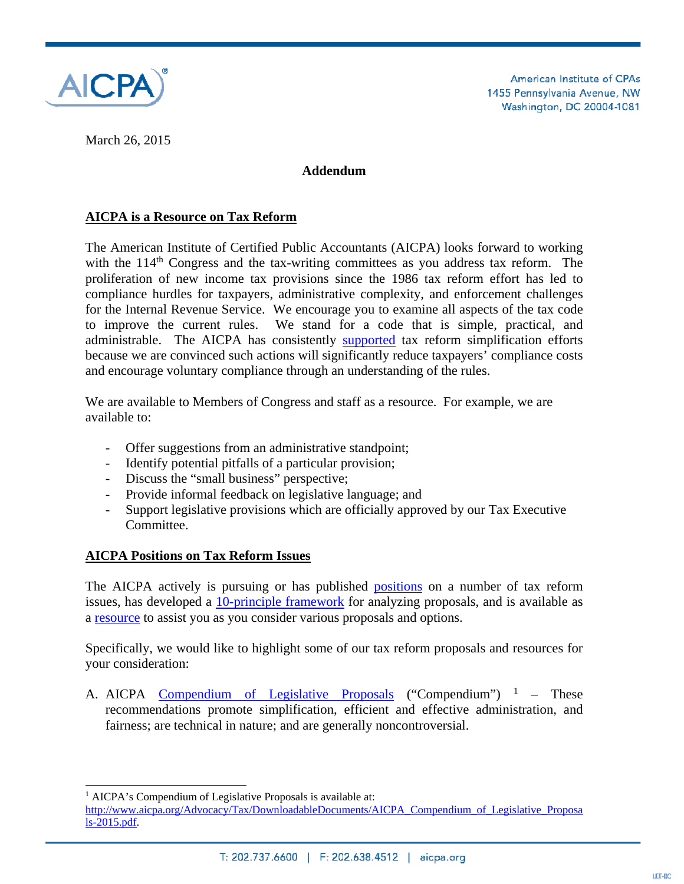

March 26, 2015

## **Addendum**

# **AICPA is a Resource on Tax Reform**

The American Institute of Certified Public Accountants (AICPA) looks forward to working with the  $114<sup>th</sup>$  Congress and the tax-writing committees as you address tax reform. The proliferation of new income tax provisions since the 1986 tax reform effort has led to compliance hurdles for taxpayers, administrative complexity, and enforcement challenges for the Internal Revenue Service. We encourage you to examine all aspects of the tax code to improve the current rules. We stand for a code that is simple, practical, and administrable. The AICPA has consistently supported tax reform simplification efforts because we are convinced such actions will significantly reduce taxpayers' compliance costs and encourage voluntary compliance through an understanding of the rules.

We are available to Members of Congress and staff as a resource. For example, we are available to:

- Offer suggestions from an administrative standpoint;
- Identify potential pitfalls of a particular provision;
- Discuss the "small business" perspective;
- Provide informal feedback on legislative language; and
- Support legislative provisions which are officially approved by our Tax Executive Committee.

# **AICPA Positions on Tax Reform Issues**

The AICPA actively is pursuing or has published **positions** on a number of tax reform issues, has developed a 10-principle framework for analyzing proposals, and is available as a resource to assist you as you consider various proposals and options.

Specifically, we would like to highlight some of our tax reform proposals and resources for your consideration:

A. AICPA Compendium of Legislative Proposals ("Compendium")  $1 -$  These recommendations promote simplification, efficient and effective administration, and fairness; are technical in nature; and are generally noncontroversial.

l

<sup>&</sup>lt;sup>1</sup> AICPA's Compendium of Legislative Proposals is available at:

http://www.aicpa.org/Advocacy/Tax/DownloadableDocuments/AICPA\_Compendium\_of\_Legislative\_Proposa ls-2015.pdf.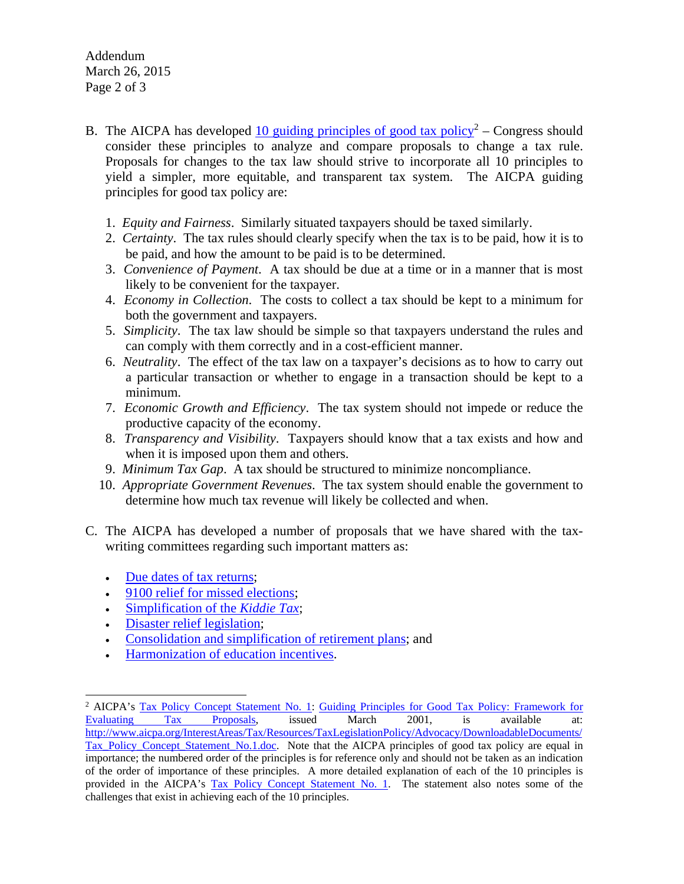Addendum March 26, 2015 Page 2 of 3

- B. The AICPA has developed  $\frac{10 \text{ guiding principles of good tax policy}^2 Congress should$ consider these principles to analyze and compare proposals to change a tax rule. Proposals for changes to the tax law should strive to incorporate all 10 principles to yield a simpler, more equitable, and transparent tax system. The AICPA guiding principles for good tax policy are:
	- 1. *Equity and Fairness*. Similarly situated taxpayers should be taxed similarly.
	- 2. *Certainty*. The tax rules should clearly specify when the tax is to be paid, how it is to be paid, and how the amount to be paid is to be determined.
	- 3. *Convenience of Payment*. A tax should be due at a time or in a manner that is most likely to be convenient for the taxpayer.
	- 4. *Economy in Collection*. The costs to collect a tax should be kept to a minimum for both the government and taxpayers.
	- 5. *Simplicity*. The tax law should be simple so that taxpayers understand the rules and can comply with them correctly and in a cost-efficient manner.
	- 6. *Neutrality*. The effect of the tax law on a taxpayer's decisions as to how to carry out a particular transaction or whether to engage in a transaction should be kept to a minimum.
	- 7. *Economic Growth and Efficiency*. The tax system should not impede or reduce the productive capacity of the economy.
	- 8. *Transparency and Visibility*. Taxpayers should know that a tax exists and how and when it is imposed upon them and others.
	- 9. *Minimum Tax Gap*. A tax should be structured to minimize noncompliance.
	- 10. *Appropriate Government Revenues*. The tax system should enable the government to determine how much tax revenue will likely be collected and when.
- C. The AICPA has developed a number of proposals that we have shared with the taxwriting committees regarding such important matters as:
	- Due dates of tax returns;
	- 9100 relief for missed elections;
	- Simplification of the *Kiddie Tax*;
	- Disaster relief legislation;

 $\overline{a}$ 

- Consolidation and simplification of retirement plans; and
- Harmonization of education incentives.

<sup>&</sup>lt;sup>2</sup> AICPA's Tax Policy Concept Statement No. 1: Guiding Principles for Good Tax Policy: Framework for Evaluating Tax Proposals, issued March 2001, is available at: http://www.aicpa.org/InterestAreas/Tax/Resources/TaxLegislationPolicy/Advocacy/DownloadableDocuments/ Tax Policy Concept Statement No.1.doc. Note that the AICPA principles of good tax policy are equal in importance; the numbered order of the principles is for reference only and should not be taken as an indication of the order of importance of these principles. A more detailed explanation of each of the 10 principles is provided in the AICPA's Tax Policy Concept Statement No. 1. The statement also notes some of the challenges that exist in achieving each of the 10 principles.